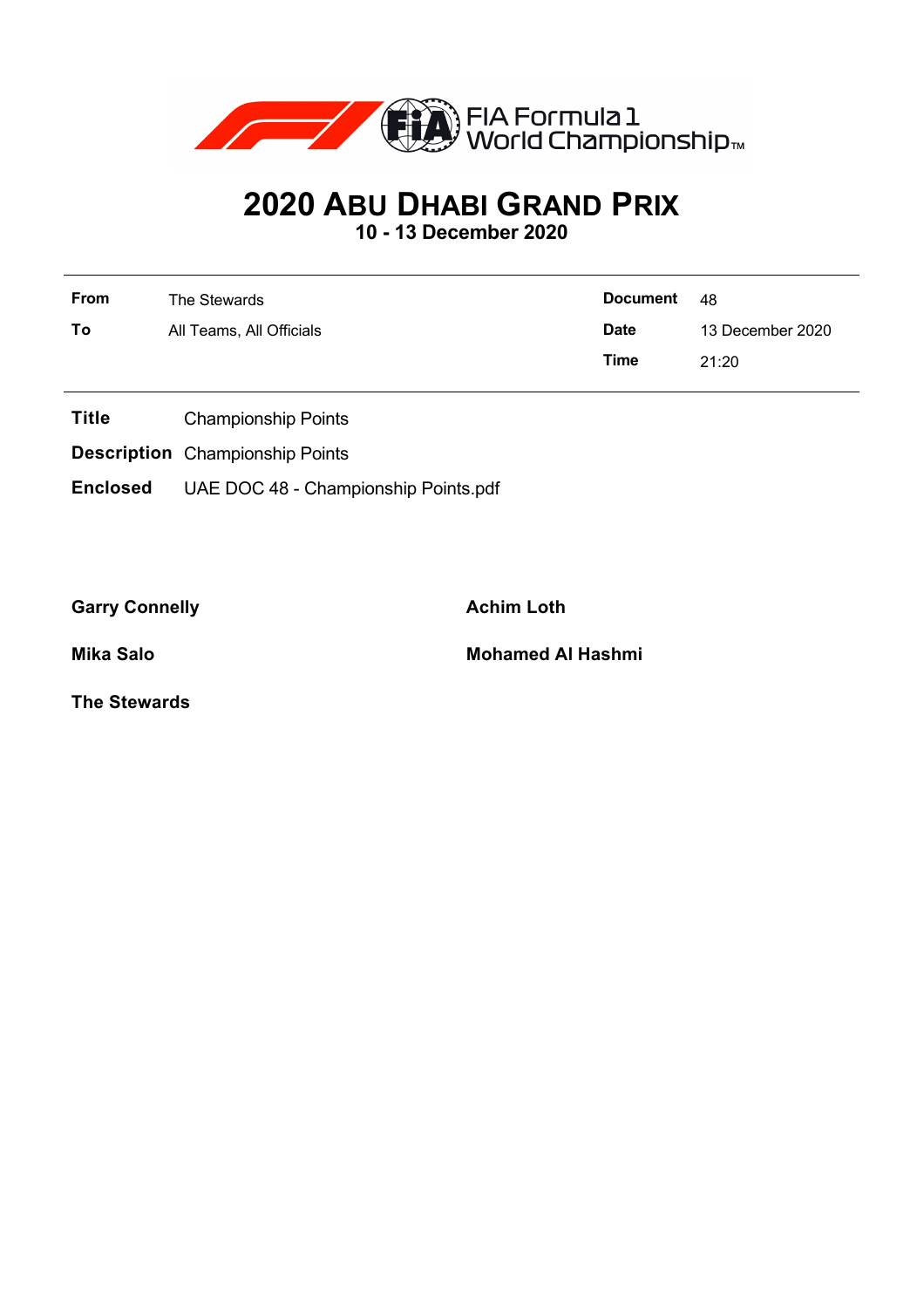

# **2020 ABU DHABI GRAND PRIX**

**10 - 13 December 2020**

| <b>From</b> | The Stewards             | <b>Document</b> | - 48             |  |  |
|-------------|--------------------------|-----------------|------------------|--|--|
| To          | All Teams, All Officials | <b>Date</b>     | 13 December 2020 |  |  |
|             |                          | Time            | 21:20            |  |  |

- **Title** Championship Points
- **Description** Championship Points
- **Enclosed** UAE DOC 48 Championship Points.pdf

Garry Connelly **Achim Loth** 

**Mika Salo Mohamed Al Hashmi**

**The Stewards**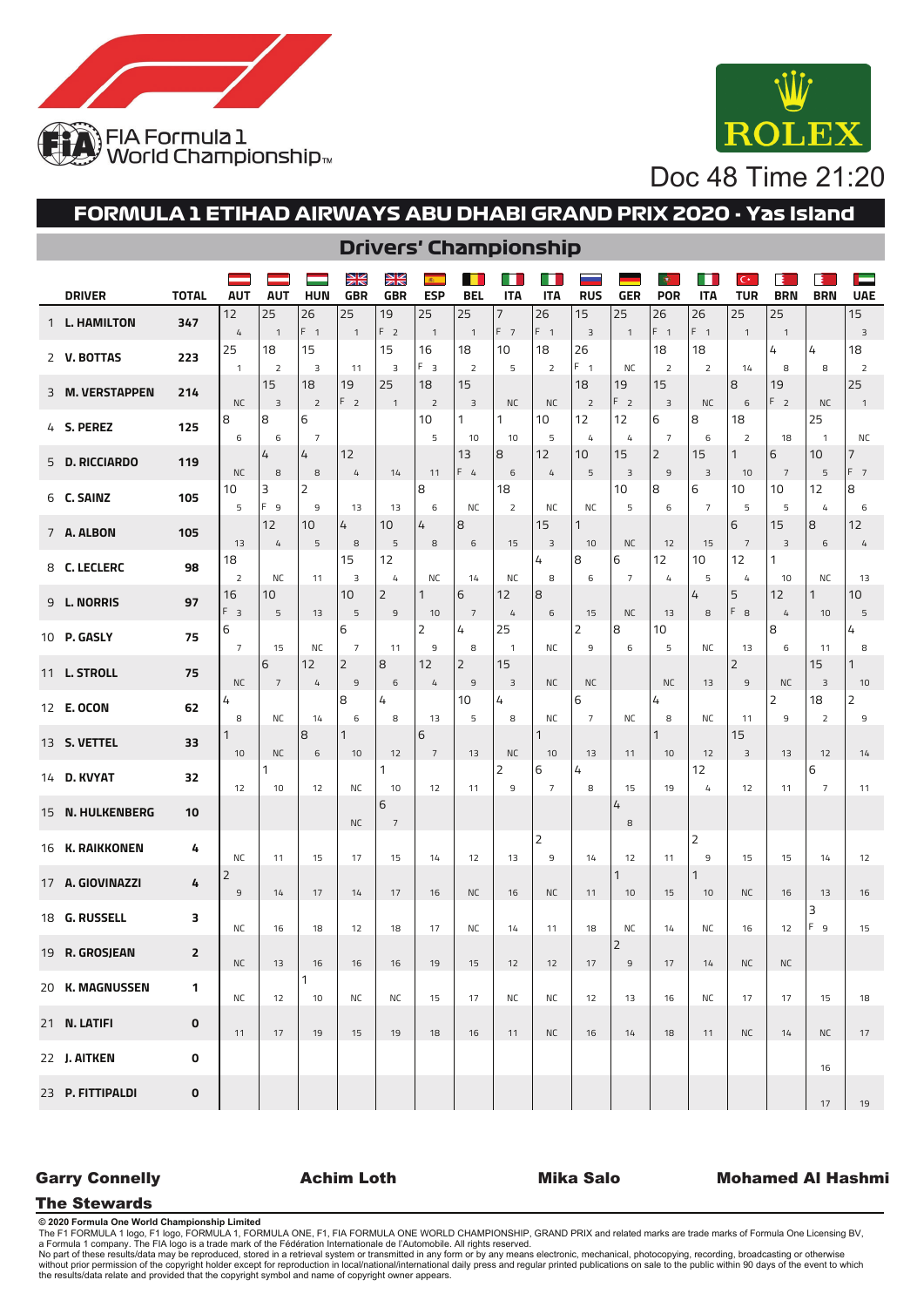



Doc 48 Time 21:20

# **FORMULA 1 ETIHAD AIRWAYS ABU DHABI GRAND PRIX 2020 - Yas Island**

| <b>DRIVER</b>     | <b>TOTAL</b> | <b>AUT</b>           | <b>AUT</b>           | <b>HUN</b>           | N<br>N<br><b>GBR</b>     | N<br>Ak<br><b>GBR</b>            | <b>ESP</b>           | <b>BEL</b>          | <b>ITA</b>         | <b>ITA</b>           | <b>RUS</b>           | <b>GER</b>             | ф<br><b>POR</b>                  | <b>ITA</b>           | $\mathbf{C}^*$<br><b>TUR</b> | <b>BRN</b>           | <b>BRN</b>              | Е<br><b>UAE</b>             |
|-------------------|--------------|----------------------|----------------------|----------------------|--------------------------|----------------------------------|----------------------|---------------------|--------------------|----------------------|----------------------|------------------------|----------------------------------|----------------------|------------------------------|----------------------|-------------------------|-----------------------------|
| 1 L. HAMILTON     | 347          | 12                   | 25                   | 26<br>$F_{1}$        | 25                       | 19<br>F <sub>2</sub>             | 25                   | 25                  | 7<br>$F$ 7         | 26<br>F <sub>1</sub> | 15                   | 25                     | 26<br>$F_{1}$                    | 26<br>F <sub>1</sub> | 25                           | 25                   |                         | 15                          |
| 2 V. BOTTAS       | 223          | $\overline{4}$<br>25 | $\overline{1}$<br>18 | 15                   | $\overline{\phantom{0}}$ | 15                               | $\overline{1}$<br>16 | $\mathbf{1}$<br>18  | 10                 | 18                   | 3<br>26              | $\overline{1}$         | 18                               | 18                   | $\overline{1}$               | $\mathbf{1}$<br>4    | 4                       | $\overline{3}$<br>18        |
|                   |              | $\overline{1}$       | $\overline{2}$       | 3                    | 11                       | 3                                | F <sub>3</sub>       | 2                   | 5                  | 2                    | $F - 1$              | <b>NC</b>              | $\overline{2}$                   | $\overline{2}$       | 14                           | 8                    | 8                       | 2<br>25                     |
| 3 M. VERSTAPPEN   | 214          | <b>NC</b>            | 15<br>$\overline{3}$ | 18<br>$\overline{2}$ | 19<br>F <sub>2</sub>     | 25<br>$\overline{1}$             | 18<br>$\mathsf{2}$   | 15<br>3             | <b>NC</b>          | <b>NC</b>            | 18<br>$\overline{2}$ | 19<br>F <sub>2</sub>   | 15<br>$\overline{3}$             | <b>NC</b>            | 8<br>6                       | 19<br>F <sub>2</sub> | <b>NC</b>               | $\overline{\phantom{0}}$    |
| 4 S. PEREZ        | 125          | 8                    | 8                    | 6                    |                          |                                  | 10                   | 1                   | 1                  | 10                   | 12                   | 12                     | 6                                | 8                    | 18                           |                      | 25                      |                             |
| 5 D. RICCIARDO    | 119          | 6                    | 6<br>4               | $\overline{7}$<br>4  | 12                       |                                  | 5                    | 10<br>13            | 10<br>8            | 5<br>12              | $\overline{4}$<br>10 | $\mathfrak{t}_+$<br>15 | $\overline{7}$<br>$\overline{2}$ | 6<br>15              | $\overline{2}$<br>1          | 18<br>6              | $\mathbf{1}$<br>10      | <b>NC</b><br>$\overline{7}$ |
|                   |              | <b>NC</b>            | 8                    | 8                    | $\overline{4}$           | 14                               | 11                   | $F_4$               | 6                  | $\overline{4}$       | 5                    | $\overline{3}$         | $\overline{9}$                   | $\overline{3}$       | 10                           | $\overline{7}$       | 5                       | F <sub>7</sub>              |
| 6 C. SAINZ        | 105          | 10<br>5              | 3<br>F <sub>9</sub>  | 2<br>9               | 13                       | 13                               | 8<br>6               | <b>NC</b>           | 18<br>2            | <b>NC</b>            | <b>NC</b>            | 10<br>5                | 8<br>$\,$ 6 $\,$                 | 6<br>$\overline{7}$  | 10<br>5                      | 10<br>5              | 12<br>4                 | 8<br>6                      |
| 7 A. ALBON        | 105          |                      | 12                   | 10                   | 4                        | 10                               | 4                    | 8                   |                    | 15                   | 1                    |                        |                                  |                      | 6                            | 15                   | 8                       | 12                          |
|                   |              | 13<br>18             | 4                    | 5                    | $^{\rm 8}$<br>15         | 5<br>12                          | 8                    | 6                   | 15                 | 3<br>4               | 10<br>8              | <b>NC</b><br>6         | 12<br>12                         | 15<br>10             | $\overline{7}$<br>12         | $\overline{3}$<br>1  | 6                       | 4                           |
| 8 C. LECLERC      | 98           | $\overline{2}$       | <b>NC</b>            | 11                   | 3                        | $\mathfrak{t}_+$                 | NC                   | 14                  | <b>NC</b>          | 8                    | 6                    | $\overline{7}$         | $\mathcal{L}_{\!+}$              | 5                    | 4                            | 10                   | <b>NC</b>               | 13                          |
| 9 L. NORRIS       | 97           | 16<br>$F_3$          | 10<br>5              | 13                   | 10<br>5                  | $\overline{2}$<br>$\overline{9}$ | 1<br>10              | 6<br>$\overline{7}$ | 12<br>4            | 8<br>6               | 15                   | <b>NC</b>              | 13                               | 4<br>8               | 5<br>$F_8$                   | 12<br>4              | 1<br>10                 | 10<br>5                     |
| 10 P. GASLY       | 75           | 6                    |                      |                      | 6                        |                                  | 2                    | 4                   | 25                 |                      | 2                    | 8                      | 10                               |                      |                              | 8                    |                         | 4                           |
|                   |              | $\overline{7}$       | 15<br>6              | <b>NC</b><br>12      | $\overline{7}$<br>2      | 11<br>8                          | 9<br>12              | 8<br>2              | $\mathbf{1}$<br>15 | <b>NC</b>            | 9                    | 6                      | 5                                | NC                   | 13<br>$\overline{2}$         | 6                    | 11<br>15                | 8<br>1                      |
| 11 L. STROLL      | 75           | <b>NC</b>            | $7\overline{ }$      | $\overline{4}$       | $\mathsf{9}$             | 6                                | $\sqrt{4}$           | 9                   | 3                  | <b>NC</b>            | <b>NC</b>            |                        | <b>NC</b>                        | 13                   | $\overline{9}$               | <b>NC</b>            | $\overline{\mathbf{3}}$ | 10                          |
| 12 <b>E. OCON</b> | 62           | 4<br>8               | NC                   | 14                   | 8<br>6                   | 4<br>8                           | 13                   | 10<br>5             | 4<br>8             | <b>NC</b>            | 6<br>$\overline{7}$  | <b>NC</b>              | 4<br>8                           | <b>NC</b>            | 11                           | 2<br>9               | 18<br>$\overline{2}$    | 2<br>9                      |
| 13 S. VETTEL      | 33           |                      |                      | 8                    | 1                        |                                  | 6                    |                     |                    | $\mathbf{1}$         |                      |                        | 1                                |                      | 15                           |                      |                         |                             |
|                   |              | 10                   | <b>NC</b><br>1       | $\epsilon$           | 10                       | 12<br>1                          | $\overline{7}$       | 13                  | <b>NC</b><br>2     | 10<br>6              | 13<br>4              | 11                     | 10                               | 12<br>12             | 3                            | 13                   | 12<br>6                 | 14                          |
| 14 D. KVYAT       | 32           | 12                   | 10                   | 12                   | <b>NC</b>                | 10                               | 12                   | 11                  | 9                  | $\overline{7}$       | 8                    | 15                     | 19                               | $\overline{4}$       | 12                           | 11                   | $\overline{7}$          | 11                          |
| 15 N. HULKENBERG  | 10           |                      |                      |                      | <b>NC</b>                | 6<br>$\overline{7}$              |                      |                     |                    |                      |                      | 4<br>8                 |                                  |                      |                              |                      |                         |                             |
| 16 K. RAIKKONEN   | 4            |                      |                      |                      |                          |                                  |                      |                     |                    | 2                    |                      |                        |                                  | $\overline{2}$       |                              |                      |                         |                             |
| 17 A. GIOVINAZZI  |              | <b>NC</b><br>2       | 11                   | 15                   | 17                       | 15                               | 14                   | 12                  | 13                 | 9                    | 14                   | 12<br>$\mathbf{1}$     | 11                               | 9<br>1               | 15                           | 15                   | 14                      | 12                          |
|                   | 4            | $\mathsf g$          | 14                   | 17                   | 14                       | 17                               | 16                   | <b>NC</b>           | 16                 | <b>NC</b>            | 11                   | 10                     | 15                               | 10                   | <b>NC</b>                    | 16                   | 13                      | 16                          |
| 18 G. RUSSELL     | з            | <b>NC</b>            | 16                   | 18                   | 12                       | 18                               | 17                   | ΝC                  | 14                 | 11                   | 18                   | <b>NC</b>              | 14                               | <b>NC</b>            | 16                           | 12                   | 3<br>F <sub>9</sub>     | 15                          |
| 19 R. GROSJEAN    | 2            | NC.                  | 13                   | 16                   | 16                       | 16                               | 19                   | 15                  | 12                 | 12                   | 17                   | $\overline{2}$<br>9    | 17                               | 14                   | NC                           | NC.                  |                         |                             |
| 20 K. MAGNUSSEN   | 1            | ΝC                   | 12                   | 1<br>10              | NC                       | NC                               | 15                   | 17                  | NC                 | <b>NC</b>            | 12                   | 13                     | 16                               | <b>NC</b>            | 17                           | 17                   | 15                      | 18                          |
| 21 N. LATIFI      | $\mathbf 0$  |                      |                      |                      |                          |                                  |                      |                     |                    |                      |                      |                        |                                  |                      |                              |                      |                         |                             |
| 22 J. AITKEN      | 0            | 11                   | 17                   | 19                   | 15                       | 19                               | 18                   | 16                  | 11                 | <b>NC</b>            | 16                   | 14                     | 18                               | 11                   | <b>NC</b>                    | 14                   | <b>NC</b>               | 17                          |
| 23 P. FITTIPALDI  |              |                      |                      |                      |                          |                                  |                      |                     |                    |                      |                      |                        |                                  |                      |                              |                      | 16                      |                             |
|                   | $\mathbf 0$  |                      |                      |                      |                          |                                  |                      |                     |                    |                      |                      |                        |                                  |                      |                              |                      | 17                      | 19                          |

### **Drivers' Championship**

### Garry Connelly **Achim Loth** Mika Salo Mohamed Al Hashmi

The Stewards

**© 2020 Formula One World Championship Limited**

The F1 FORMULA 1 logo, F1 logo, FORMULA 1, FORMULA ONE, F1, FIA FORMULA ONE WORLD CHAMPIONSHIP, GRAND PRIX and related marks are trade marks of Formula One Licensing BV,<br>No part of these results/data may be reproduced, sto